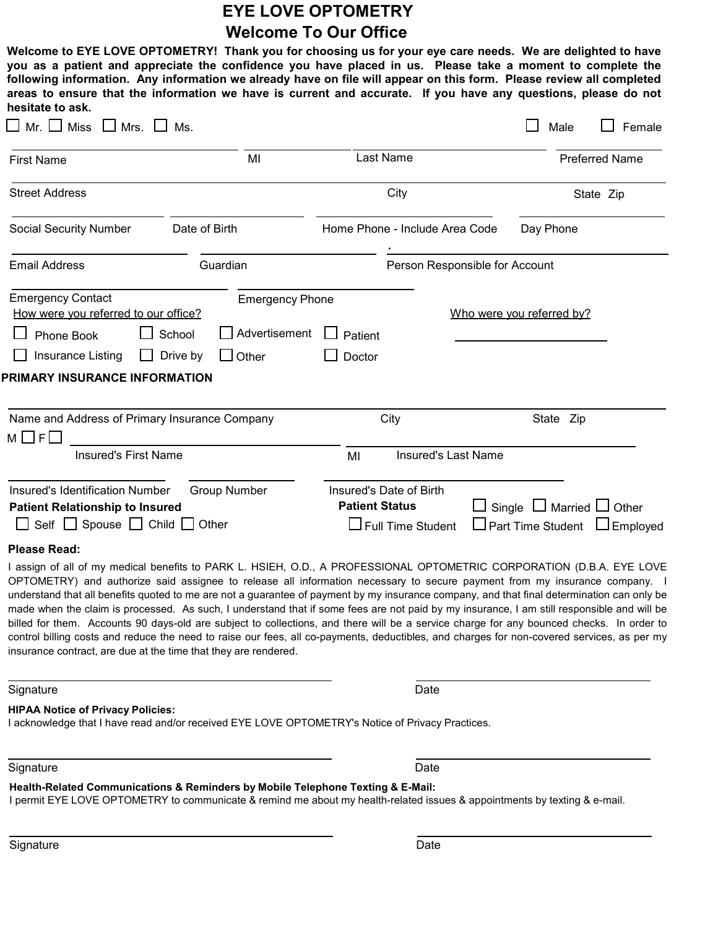# EYE LOVE OPTOMETRY Welcome To Our Office

Welcome to EYE LOVE OPTOMETRY! Thank you for choosing us for your eye care needs. We are delighted to have you as a patient and appreciate the confidence you have placed in us. Please take a moment to complete the following information. Any information we already have on file will appear on this form. Please review all completed areas to ensure that the information we have is current and accurate. If you have any questions, please do not hesitate to ask.

| <b>Miss</b><br>Mr.II<br>$\Box$ Mrs.                                                                                                                     | Ms.                                                                           |                                                                              | Female<br>Male                                                         |
|---------------------------------------------------------------------------------------------------------------------------------------------------------|-------------------------------------------------------------------------------|------------------------------------------------------------------------------|------------------------------------------------------------------------|
| MI<br><b>First Name</b>                                                                                                                                 |                                                                               | Last Name                                                                    | <b>Preferred Name</b>                                                  |
| <b>Street Address</b>                                                                                                                                   |                                                                               | City                                                                         | State Zip                                                              |
| Social Security Number                                                                                                                                  | Date of Birth                                                                 | Home Phone - Include Area Code                                               | Day Phone                                                              |
| <b>Email Address</b>                                                                                                                                    | Guardian                                                                      |                                                                              | Person Responsible for Account                                         |
| <b>Emergency Contact</b><br>How were you referred to our office?<br>Phone Book<br>Insurance Listing<br>$\perp$<br>PRIMARY INSURANCE INFORMATION         | <b>Emergency Phone</b><br>Advertisement<br>School<br>Drive by<br>$\Box$ Other | Patient<br>Doctor                                                            | Who were you referred by?                                              |
| Name and Address of Primary Insurance Company<br>$M \Box F$                                                                                             |                                                                               | City                                                                         | State Zip                                                              |
| <b>Insured's First Name</b>                                                                                                                             |                                                                               | <b>Insured's Last Name</b><br>MI                                             |                                                                        |
| <b>Insured's Identification Number</b><br><b>Patient Relationship to Insured</b><br>Self $\Box$ Spouse $\Box$ Child $\Box$ Other<br><b>Please Read:</b> | <b>Group Number</b>                                                           | Insured's Date of Birth<br><b>Patient Status</b><br>$\Box$ Full Time Student | □ Single □ Married □ Other<br>$\Box$ Part Time Student $\Box$ Employed |
|                                                                                                                                                         |                                                                               |                                                                              |                                                                        |

I assign of all of my medical benefits to PARK L. HSIEH, O.D., A PROFESSIONAL OPTOMETRIC CORPORATION (D.B.A. EYE LOVE OPTOMETRY) and authorize said assignee to release all information necessary to secure payment from my insurance company. I understand that all benefits quoted to me are not a guarantee of payment by my insurance company, and that final determination can only be made when the claim is processed. As such, I understand that if some fees are not paid by my insurance, I am still responsible and will be billed for them. Accounts 90 days-old are subject to collections, and there will be a service charge for any bounced checks. In order to control billing costs and reduce the need to raise our fees, all co-payments, deductibles, and charges for non-covered services, as per my insurance contract, are due at the time that they are rendered.

Signature Date Date of the Date of the Date of the Date of the Date of the Date of the Date of the Date of the Date of the Date of the Date of the Date of the Date of the Date of the Date of the Date of the Date of the Dat

HIPAA Notice of Privacy Policies:

I acknowledge that I have read and/or received EYE LOVE OPTOMETRY's Notice of Privacy Practices.

Signature Date Date of the Date of the Date of the Date of the Date of the Date of the Date of the Date of the

Health-Related Communications & Reminders by Mobile Telephone Texting & E-Mail:

I permit EYE LOVE OPTOMETRY to communicate & remind me about my health-related issues & appointments by texting & e-mail.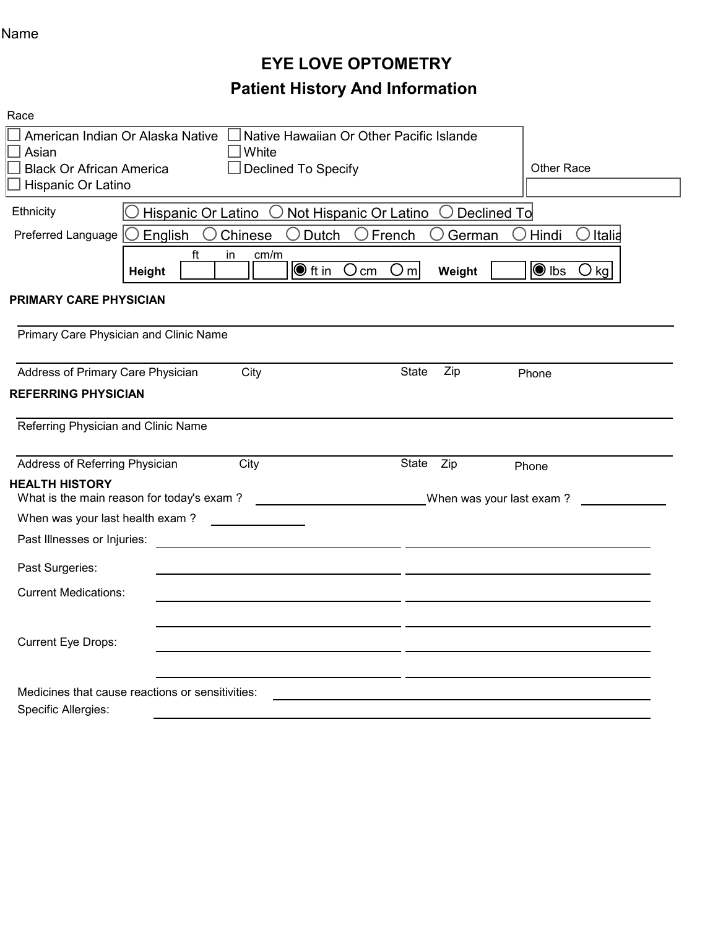## Name

# EYE LOVE OPTOMETRY Patient History And Information

| Race                                |                                                                                                                 |                                           |  |  |  |  |
|-------------------------------------|-----------------------------------------------------------------------------------------------------------------|-------------------------------------------|--|--|--|--|
|                                     | Native Hawaiian Or Other Pacific Islande<br>American Indian Or Alaska Native                                    |                                           |  |  |  |  |
| Asian                               | White                                                                                                           |                                           |  |  |  |  |
| <b>Black Or African America</b>     | Declined To Specify                                                                                             | <b>Other Race</b>                         |  |  |  |  |
| Hispanic Or Latino                  |                                                                                                                 |                                           |  |  |  |  |
| Ethnicity                           | Hispanic Or Latino<br>$\bigcirc$ Not Hispanic Or Latino<br>Declined To                                          |                                           |  |  |  |  |
| Preferred Language $\bigcirc$       | $\bigcap$<br>French<br>English<br>Chinese<br><b>Dutch</b><br>$\bigcirc$                                         | Italia<br>German<br>Hindi                 |  |  |  |  |
|                                     | ft<br>cm/m<br>in<br>O <sub>m</sub><br>$\bigcirc$ ft in<br>$O \,$ cm<br><b>Height</b>                            | $\bigcirc$ lbs<br>Weight<br>$\bigcirc$ kg |  |  |  |  |
| <b>PRIMARY CARE PHYSICIAN</b>       |                                                                                                                 |                                           |  |  |  |  |
|                                     | Primary Care Physician and Clinic Name                                                                          |                                           |  |  |  |  |
| Address of Primary Care Physician   | City                                                                                                            | Zip<br><b>State</b><br>Phone              |  |  |  |  |
| <b>REFERRING PHYSICIAN</b>          |                                                                                                                 |                                           |  |  |  |  |
| Referring Physician and Clinic Name |                                                                                                                 |                                           |  |  |  |  |
| Address of Referring Physician      | City                                                                                                            | State<br>Zip<br>Phone                     |  |  |  |  |
| <b>HEALTH HISTORY</b>               | What is the main reason for today's exam?<br><u> 1989 - Andrea Barbara, politik e</u> ta eta erregea (h. 1918). | When was your last exam?                  |  |  |  |  |
| When was your last health exam?     |                                                                                                                 |                                           |  |  |  |  |
| Past Illnesses or Injuries:         |                                                                                                                 |                                           |  |  |  |  |
| Past Surgeries:                     |                                                                                                                 |                                           |  |  |  |  |
| <b>Current Medications:</b>         |                                                                                                                 |                                           |  |  |  |  |
|                                     |                                                                                                                 |                                           |  |  |  |  |
| Current Eye Drops:                  |                                                                                                                 |                                           |  |  |  |  |
|                                     |                                                                                                                 |                                           |  |  |  |  |
|                                     | Medicines that cause reactions or sensitivities:                                                                |                                           |  |  |  |  |
| Specific Allergies:                 |                                                                                                                 |                                           |  |  |  |  |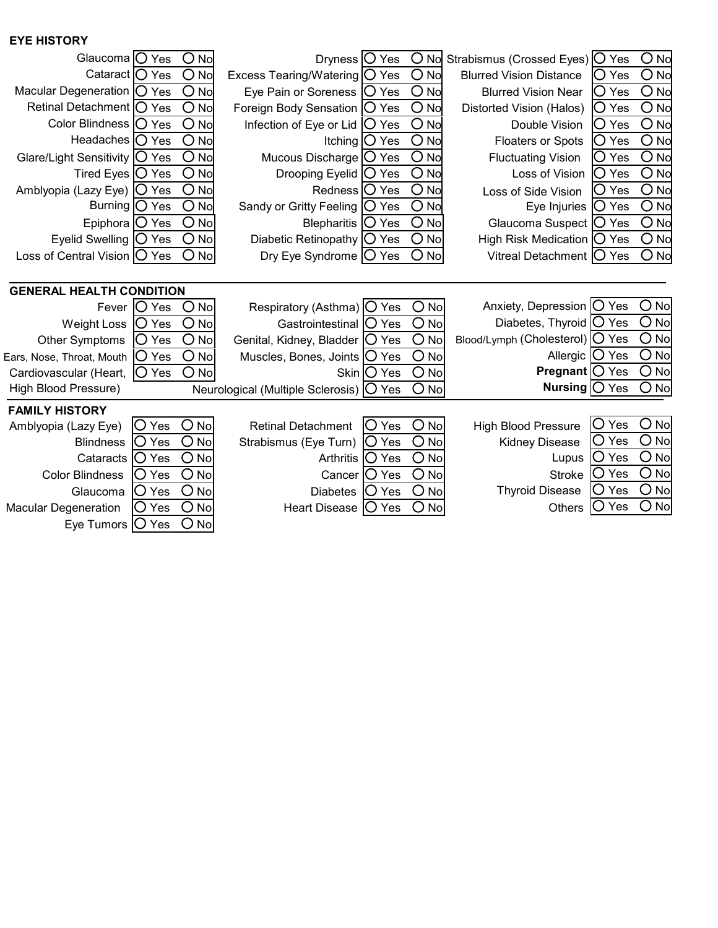#### EYE HISTORY

| Glaucoma   O Yes<br>$O$ No<br>Dryness $\bigcirc$ Yes<br>$O$ No<br>Cataract   O Yes<br>$O$ No<br>Excess Tearing/Watering   O Yes<br>Macular Degeneration $\bigcirc$ Yes<br>O<br><b>No</b><br>Eye Pain or Soreness   O Yes<br>$O$ No<br>$O$ No<br>$\bigcirc$<br>Retinal Detachment   O Yes<br>No<br>Foreign Body Sensation   O Yes<br>Color Blindness   O Yes<br>$O$ No<br>$O$ No<br>Infection of Eye or Lid $\bigcirc$ Yes<br>$\overline{O}$ No<br>$\bigcirc$<br>Headaches   O Yes<br><b>No</b><br>Itching $ O$ Yes<br>O<br>O<br><b>No</b><br><b>No</b><br>Glare/Light Sensitivity   O Yes<br>Mucous Discharge<br>O Yes<br>$\bigcirc$<br>$\bigcirc$<br>Tired Eyes $\bigcirc$ Yes<br>No<br>No<br>Drooping Eyelid $\bigcirc$ Yes<br>$O$ No<br>O<br>Amblyopia (Lazy Eye)   O Yes<br>Redness   O Yes<br>No<br>$O$ No<br>$O$ No<br>Burning   O Yes<br>Sandy or Gritty Feeling<br>O Yes<br>$O$ No<br>Epiphora $\bigcirc$ Yes<br>$O$ No<br>Blepharitis   O Yes<br>$O$ No<br>$O$ No<br>Eyelid Swelling $ O$ Yes<br>Diabetic Retinopathy $ O \rangle$ Yes<br>Loss of Central Vision $ O \rangle$ Yes<br>$\left($ $\right)$<br>No<br>Dry Eye Syndrome $ O \rangle$ Yes<br>$O$ No<br><b>GENERAL HEALTH CONDITION</b><br>$O$ No<br><b>IO</b> Yes<br>Respiratory (Asthma) O Yes<br>Fever<br>$O$ No<br>$O$ No<br>$O$ No<br>$\bigcirc$ Yes<br>Gastrointestinal   O Yes<br><b>Weight Loss</b><br>$O$ No<br>$O$ No<br>Other Symptoms<br>O Yes<br>Genital, Kidney, Bladder   O Yes<br>$\bigcirc$ No<br>$O$ No<br>O Yes<br>Muscles, Bones, Joints   O Yes<br>Ears, Nose, Throat, Mouth<br>$O$ No<br>$O$ No<br>O Yes<br>Skin O Yes<br>Cardiovascular (Heart,<br>High Blood Pressure)<br>$O$ No<br>Neurological (Multiple Sclerosis)   O Yes<br><b>FAMILY HISTORY</b><br>$O$ No<br>$\bigcirc$ Yes<br>No<br>IO Yes<br><b>Retinal Detachment</b><br>Amblyopia (Lazy Eye)<br>$\cup$<br>$O$ No<br>O<br>O Yes<br>No<br>Strabismus (Eye Turn)<br> O Yes<br><b>Blindness</b><br>$O$ No<br>O<br>No<br>O Yes<br><b>Arthritis</b><br>O Yes<br>Cataracts<br>$O$ No<br>O<br>O Yes<br>O Yes<br><b>Color Blindness</b><br><b>No</b><br>Cancer<br>$O$ No<br>O<br><b>No</b><br>O Yes<br>O Yes<br>Glaucoma<br><b>Diabetes</b> | O No Strabismus (Crossed Eyes)   O Yes<br>O No<br>$\bigcirc$ No<br>$ O$ Yes<br><b>Blurred Vision Distance</b><br>$O$ No<br><b>Blurred Vision Near</b><br><b>O</b> Yes<br>$\overline{O}$ No<br>Distorted Vision (Halos)<br>$ O$ Yes<br>$O$ No<br>Double Vision<br><b>O</b> Yes<br>$O$ No<br>IO Yes<br><b>Floaters or Spots</b><br>$O$ No<br><b>Fluctuating Vision</b><br>IO Yes<br>$O$ No<br>$ O$ Yes<br>Loss of Vision<br>$\overline{O}$ No<br>IO Yes<br>Loss of Side Vision<br>$O$ No<br>Eye Injuries $\bigcirc$ Yes<br>$O$ No<br>Glaucoma Suspect   O Yes<br>$O$ No<br>High Risk Medication   O Yes<br>O No<br>Vitreal Detachment   O Yes<br>Anxiety, Depression   V Yes<br>$\bigcirc$ No<br>Diabetes, Thyroid   O Yes<br>O<br>No<br>$O$ No<br>Blood/Lymph (Cholesterol)   O Yes<br>O<br>No<br>Allergic   Ves<br>$\bigcirc$ No<br><b>Pregnant</b> $\bigcirc$ Yes<br>Nursing   O Yes<br><b>No</b><br>O<br>$\bigcirc$ No<br>Yes<br><b>High Blood Pressure</b><br>$\bigcup$<br>О<br>No<br>∪ Yes<br><b>Kidney Disease</b><br>$\bigcirc$ No<br>O Yes<br>Lupus<br>O<br>No<br>Yes<br><b>Stroke</b><br>$\Box$<br>O<br><b>No</b><br><b>Thyroid Disease</b><br>Yes<br>. )<br>O<br>No<br>O<br>$O$ No<br>O Yes<br><b>No</b><br>Yes<br>Heart Disease<br> O Yes<br><b>Others</b><br>Eye Tumors $\bigcirc$ Yes<br>$\left( \right)$<br>No |                             |  |  |  |  |
|----------------------------------------------------------------------------------------------------------------------------------------------------------------------------------------------------------------------------------------------------------------------------------------------------------------------------------------------------------------------------------------------------------------------------------------------------------------------------------------------------------------------------------------------------------------------------------------------------------------------------------------------------------------------------------------------------------------------------------------------------------------------------------------------------------------------------------------------------------------------------------------------------------------------------------------------------------------------------------------------------------------------------------------------------------------------------------------------------------------------------------------------------------------------------------------------------------------------------------------------------------------------------------------------------------------------------------------------------------------------------------------------------------------------------------------------------------------------------------------------------------------------------------------------------------------------------------------------------------------------------------------------------------------------------------------------------------------------------------------------------------------------------------------------------------------------------------------------------------------------------------------------------------------------------------------------------------------------------------------------------------------------------------------------------------------------------------------------------------------------------------------------------------------------------------------|-----------------------------------------------------------------------------------------------------------------------------------------------------------------------------------------------------------------------------------------------------------------------------------------------------------------------------------------------------------------------------------------------------------------------------------------------------------------------------------------------------------------------------------------------------------------------------------------------------------------------------------------------------------------------------------------------------------------------------------------------------------------------------------------------------------------------------------------------------------------------------------------------------------------------------------------------------------------------------------------------------------------------------------------------------------------------------------------------------------------------------------------------------------------------------------------------------------------------------------------------------------------------------------------------------------------------------|-----------------------------|--|--|--|--|
|                                                                                                                                                                                                                                                                                                                                                                                                                                                                                                                                                                                                                                                                                                                                                                                                                                                                                                                                                                                                                                                                                                                                                                                                                                                                                                                                                                                                                                                                                                                                                                                                                                                                                                                                                                                                                                                                                                                                                                                                                                                                                                                                                                                        |                                                                                                                                                                                                                                                                                                                                                                                                                                                                                                                                                                                                                                                                                                                                                                                                                                                                                                                                                                                                                                                                                                                                                                                                                                                                                                                             |                             |  |  |  |  |
|                                                                                                                                                                                                                                                                                                                                                                                                                                                                                                                                                                                                                                                                                                                                                                                                                                                                                                                                                                                                                                                                                                                                                                                                                                                                                                                                                                                                                                                                                                                                                                                                                                                                                                                                                                                                                                                                                                                                                                                                                                                                                                                                                                                        |                                                                                                                                                                                                                                                                                                                                                                                                                                                                                                                                                                                                                                                                                                                                                                                                                                                                                                                                                                                                                                                                                                                                                                                                                                                                                                                             |                             |  |  |  |  |
|                                                                                                                                                                                                                                                                                                                                                                                                                                                                                                                                                                                                                                                                                                                                                                                                                                                                                                                                                                                                                                                                                                                                                                                                                                                                                                                                                                                                                                                                                                                                                                                                                                                                                                                                                                                                                                                                                                                                                                                                                                                                                                                                                                                        |                                                                                                                                                                                                                                                                                                                                                                                                                                                                                                                                                                                                                                                                                                                                                                                                                                                                                                                                                                                                                                                                                                                                                                                                                                                                                                                             |                             |  |  |  |  |
|                                                                                                                                                                                                                                                                                                                                                                                                                                                                                                                                                                                                                                                                                                                                                                                                                                                                                                                                                                                                                                                                                                                                                                                                                                                                                                                                                                                                                                                                                                                                                                                                                                                                                                                                                                                                                                                                                                                                                                                                                                                                                                                                                                                        |                                                                                                                                                                                                                                                                                                                                                                                                                                                                                                                                                                                                                                                                                                                                                                                                                                                                                                                                                                                                                                                                                                                                                                                                                                                                                                                             |                             |  |  |  |  |
|                                                                                                                                                                                                                                                                                                                                                                                                                                                                                                                                                                                                                                                                                                                                                                                                                                                                                                                                                                                                                                                                                                                                                                                                                                                                                                                                                                                                                                                                                                                                                                                                                                                                                                                                                                                                                                                                                                                                                                                                                                                                                                                                                                                        |                                                                                                                                                                                                                                                                                                                                                                                                                                                                                                                                                                                                                                                                                                                                                                                                                                                                                                                                                                                                                                                                                                                                                                                                                                                                                                                             |                             |  |  |  |  |
|                                                                                                                                                                                                                                                                                                                                                                                                                                                                                                                                                                                                                                                                                                                                                                                                                                                                                                                                                                                                                                                                                                                                                                                                                                                                                                                                                                                                                                                                                                                                                                                                                                                                                                                                                                                                                                                                                                                                                                                                                                                                                                                                                                                        |                                                                                                                                                                                                                                                                                                                                                                                                                                                                                                                                                                                                                                                                                                                                                                                                                                                                                                                                                                                                                                                                                                                                                                                                                                                                                                                             |                             |  |  |  |  |
|                                                                                                                                                                                                                                                                                                                                                                                                                                                                                                                                                                                                                                                                                                                                                                                                                                                                                                                                                                                                                                                                                                                                                                                                                                                                                                                                                                                                                                                                                                                                                                                                                                                                                                                                                                                                                                                                                                                                                                                                                                                                                                                                                                                        |                                                                                                                                                                                                                                                                                                                                                                                                                                                                                                                                                                                                                                                                                                                                                                                                                                                                                                                                                                                                                                                                                                                                                                                                                                                                                                                             |                             |  |  |  |  |
|                                                                                                                                                                                                                                                                                                                                                                                                                                                                                                                                                                                                                                                                                                                                                                                                                                                                                                                                                                                                                                                                                                                                                                                                                                                                                                                                                                                                                                                                                                                                                                                                                                                                                                                                                                                                                                                                                                                                                                                                                                                                                                                                                                                        |                                                                                                                                                                                                                                                                                                                                                                                                                                                                                                                                                                                                                                                                                                                                                                                                                                                                                                                                                                                                                                                                                                                                                                                                                                                                                                                             |                             |  |  |  |  |
|                                                                                                                                                                                                                                                                                                                                                                                                                                                                                                                                                                                                                                                                                                                                                                                                                                                                                                                                                                                                                                                                                                                                                                                                                                                                                                                                                                                                                                                                                                                                                                                                                                                                                                                                                                                                                                                                                                                                                                                                                                                                                                                                                                                        |                                                                                                                                                                                                                                                                                                                                                                                                                                                                                                                                                                                                                                                                                                                                                                                                                                                                                                                                                                                                                                                                                                                                                                                                                                                                                                                             |                             |  |  |  |  |
|                                                                                                                                                                                                                                                                                                                                                                                                                                                                                                                                                                                                                                                                                                                                                                                                                                                                                                                                                                                                                                                                                                                                                                                                                                                                                                                                                                                                                                                                                                                                                                                                                                                                                                                                                                                                                                                                                                                                                                                                                                                                                                                                                                                        |                                                                                                                                                                                                                                                                                                                                                                                                                                                                                                                                                                                                                                                                                                                                                                                                                                                                                                                                                                                                                                                                                                                                                                                                                                                                                                                             |                             |  |  |  |  |
|                                                                                                                                                                                                                                                                                                                                                                                                                                                                                                                                                                                                                                                                                                                                                                                                                                                                                                                                                                                                                                                                                                                                                                                                                                                                                                                                                                                                                                                                                                                                                                                                                                                                                                                                                                                                                                                                                                                                                                                                                                                                                                                                                                                        |                                                                                                                                                                                                                                                                                                                                                                                                                                                                                                                                                                                                                                                                                                                                                                                                                                                                                                                                                                                                                                                                                                                                                                                                                                                                                                                             |                             |  |  |  |  |
|                                                                                                                                                                                                                                                                                                                                                                                                                                                                                                                                                                                                                                                                                                                                                                                                                                                                                                                                                                                                                                                                                                                                                                                                                                                                                                                                                                                                                                                                                                                                                                                                                                                                                                                                                                                                                                                                                                                                                                                                                                                                                                                                                                                        |                                                                                                                                                                                                                                                                                                                                                                                                                                                                                                                                                                                                                                                                                                                                                                                                                                                                                                                                                                                                                                                                                                                                                                                                                                                                                                                             |                             |  |  |  |  |
|                                                                                                                                                                                                                                                                                                                                                                                                                                                                                                                                                                                                                                                                                                                                                                                                                                                                                                                                                                                                                                                                                                                                                                                                                                                                                                                                                                                                                                                                                                                                                                                                                                                                                                                                                                                                                                                                                                                                                                                                                                                                                                                                                                                        |                                                                                                                                                                                                                                                                                                                                                                                                                                                                                                                                                                                                                                                                                                                                                                                                                                                                                                                                                                                                                                                                                                                                                                                                                                                                                                                             |                             |  |  |  |  |
|                                                                                                                                                                                                                                                                                                                                                                                                                                                                                                                                                                                                                                                                                                                                                                                                                                                                                                                                                                                                                                                                                                                                                                                                                                                                                                                                                                                                                                                                                                                                                                                                                                                                                                                                                                                                                                                                                                                                                                                                                                                                                                                                                                                        |                                                                                                                                                                                                                                                                                                                                                                                                                                                                                                                                                                                                                                                                                                                                                                                                                                                                                                                                                                                                                                                                                                                                                                                                                                                                                                                             |                             |  |  |  |  |
|                                                                                                                                                                                                                                                                                                                                                                                                                                                                                                                                                                                                                                                                                                                                                                                                                                                                                                                                                                                                                                                                                                                                                                                                                                                                                                                                                                                                                                                                                                                                                                                                                                                                                                                                                                                                                                                                                                                                                                                                                                                                                                                                                                                        |                                                                                                                                                                                                                                                                                                                                                                                                                                                                                                                                                                                                                                                                                                                                                                                                                                                                                                                                                                                                                                                                                                                                                                                                                                                                                                                             |                             |  |  |  |  |
|                                                                                                                                                                                                                                                                                                                                                                                                                                                                                                                                                                                                                                                                                                                                                                                                                                                                                                                                                                                                                                                                                                                                                                                                                                                                                                                                                                                                                                                                                                                                                                                                                                                                                                                                                                                                                                                                                                                                                                                                                                                                                                                                                                                        |                                                                                                                                                                                                                                                                                                                                                                                                                                                                                                                                                                                                                                                                                                                                                                                                                                                                                                                                                                                                                                                                                                                                                                                                                                                                                                                             |                             |  |  |  |  |
|                                                                                                                                                                                                                                                                                                                                                                                                                                                                                                                                                                                                                                                                                                                                                                                                                                                                                                                                                                                                                                                                                                                                                                                                                                                                                                                                                                                                                                                                                                                                                                                                                                                                                                                                                                                                                                                                                                                                                                                                                                                                                                                                                                                        |                                                                                                                                                                                                                                                                                                                                                                                                                                                                                                                                                                                                                                                                                                                                                                                                                                                                                                                                                                                                                                                                                                                                                                                                                                                                                                                             |                             |  |  |  |  |
|                                                                                                                                                                                                                                                                                                                                                                                                                                                                                                                                                                                                                                                                                                                                                                                                                                                                                                                                                                                                                                                                                                                                                                                                                                                                                                                                                                                                                                                                                                                                                                                                                                                                                                                                                                                                                                                                                                                                                                                                                                                                                                                                                                                        |                                                                                                                                                                                                                                                                                                                                                                                                                                                                                                                                                                                                                                                                                                                                                                                                                                                                                                                                                                                                                                                                                                                                                                                                                                                                                                                             |                             |  |  |  |  |
|                                                                                                                                                                                                                                                                                                                                                                                                                                                                                                                                                                                                                                                                                                                                                                                                                                                                                                                                                                                                                                                                                                                                                                                                                                                                                                                                                                                                                                                                                                                                                                                                                                                                                                                                                                                                                                                                                                                                                                                                                                                                                                                                                                                        |                                                                                                                                                                                                                                                                                                                                                                                                                                                                                                                                                                                                                                                                                                                                                                                                                                                                                                                                                                                                                                                                                                                                                                                                                                                                                                                             |                             |  |  |  |  |
|                                                                                                                                                                                                                                                                                                                                                                                                                                                                                                                                                                                                                                                                                                                                                                                                                                                                                                                                                                                                                                                                                                                                                                                                                                                                                                                                                                                                                                                                                                                                                                                                                                                                                                                                                                                                                                                                                                                                                                                                                                                                                                                                                                                        |                                                                                                                                                                                                                                                                                                                                                                                                                                                                                                                                                                                                                                                                                                                                                                                                                                                                                                                                                                                                                                                                                                                                                                                                                                                                                                                             |                             |  |  |  |  |
|                                                                                                                                                                                                                                                                                                                                                                                                                                                                                                                                                                                                                                                                                                                                                                                                                                                                                                                                                                                                                                                                                                                                                                                                                                                                                                                                                                                                                                                                                                                                                                                                                                                                                                                                                                                                                                                                                                                                                                                                                                                                                                                                                                                        |                                                                                                                                                                                                                                                                                                                                                                                                                                                                                                                                                                                                                                                                                                                                                                                                                                                                                                                                                                                                                                                                                                                                                                                                                                                                                                                             |                             |  |  |  |  |
|                                                                                                                                                                                                                                                                                                                                                                                                                                                                                                                                                                                                                                                                                                                                                                                                                                                                                                                                                                                                                                                                                                                                                                                                                                                                                                                                                                                                                                                                                                                                                                                                                                                                                                                                                                                                                                                                                                                                                                                                                                                                                                                                                                                        |                                                                                                                                                                                                                                                                                                                                                                                                                                                                                                                                                                                                                                                                                                                                                                                                                                                                                                                                                                                                                                                                                                                                                                                                                                                                                                                             |                             |  |  |  |  |
|                                                                                                                                                                                                                                                                                                                                                                                                                                                                                                                                                                                                                                                                                                                                                                                                                                                                                                                                                                                                                                                                                                                                                                                                                                                                                                                                                                                                                                                                                                                                                                                                                                                                                                                                                                                                                                                                                                                                                                                                                                                                                                                                                                                        |                                                                                                                                                                                                                                                                                                                                                                                                                                                                                                                                                                                                                                                                                                                                                                                                                                                                                                                                                                                                                                                                                                                                                                                                                                                                                                                             |                             |  |  |  |  |
|                                                                                                                                                                                                                                                                                                                                                                                                                                                                                                                                                                                                                                                                                                                                                                                                                                                                                                                                                                                                                                                                                                                                                                                                                                                                                                                                                                                                                                                                                                                                                                                                                                                                                                                                                                                                                                                                                                                                                                                                                                                                                                                                                                                        |                                                                                                                                                                                                                                                                                                                                                                                                                                                                                                                                                                                                                                                                                                                                                                                                                                                                                                                                                                                                                                                                                                                                                                                                                                                                                                                             |                             |  |  |  |  |
|                                                                                                                                                                                                                                                                                                                                                                                                                                                                                                                                                                                                                                                                                                                                                                                                                                                                                                                                                                                                                                                                                                                                                                                                                                                                                                                                                                                                                                                                                                                                                                                                                                                                                                                                                                                                                                                                                                                                                                                                                                                                                                                                                                                        |                                                                                                                                                                                                                                                                                                                                                                                                                                                                                                                                                                                                                                                                                                                                                                                                                                                                                                                                                                                                                                                                                                                                                                                                                                                                                                                             |                             |  |  |  |  |
|                                                                                                                                                                                                                                                                                                                                                                                                                                                                                                                                                                                                                                                                                                                                                                                                                                                                                                                                                                                                                                                                                                                                                                                                                                                                                                                                                                                                                                                                                                                                                                                                                                                                                                                                                                                                                                                                                                                                                                                                                                                                                                                                                                                        |                                                                                                                                                                                                                                                                                                                                                                                                                                                                                                                                                                                                                                                                                                                                                                                                                                                                                                                                                                                                                                                                                                                                                                                                                                                                                                                             |                             |  |  |  |  |
|                                                                                                                                                                                                                                                                                                                                                                                                                                                                                                                                                                                                                                                                                                                                                                                                                                                                                                                                                                                                                                                                                                                                                                                                                                                                                                                                                                                                                                                                                                                                                                                                                                                                                                                                                                                                                                                                                                                                                                                                                                                                                                                                                                                        |                                                                                                                                                                                                                                                                                                                                                                                                                                                                                                                                                                                                                                                                                                                                                                                                                                                                                                                                                                                                                                                                                                                                                                                                                                                                                                                             |                             |  |  |  |  |
|                                                                                                                                                                                                                                                                                                                                                                                                                                                                                                                                                                                                                                                                                                                                                                                                                                                                                                                                                                                                                                                                                                                                                                                                                                                                                                                                                                                                                                                                                                                                                                                                                                                                                                                                                                                                                                                                                                                                                                                                                                                                                                                                                                                        |                                                                                                                                                                                                                                                                                                                                                                                                                                                                                                                                                                                                                                                                                                                                                                                                                                                                                                                                                                                                                                                                                                                                                                                                                                                                                                                             | <b>Macular Degeneration</b> |  |  |  |  |
|                                                                                                                                                                                                                                                                                                                                                                                                                                                                                                                                                                                                                                                                                                                                                                                                                                                                                                                                                                                                                                                                                                                                                                                                                                                                                                                                                                                                                                                                                                                                                                                                                                                                                                                                                                                                                                                                                                                                                                                                                                                                                                                                                                                        |                                                                                                                                                                                                                                                                                                                                                                                                                                                                                                                                                                                                                                                                                                                                                                                                                                                                                                                                                                                                                                                                                                                                                                                                                                                                                                                             |                             |  |  |  |  |